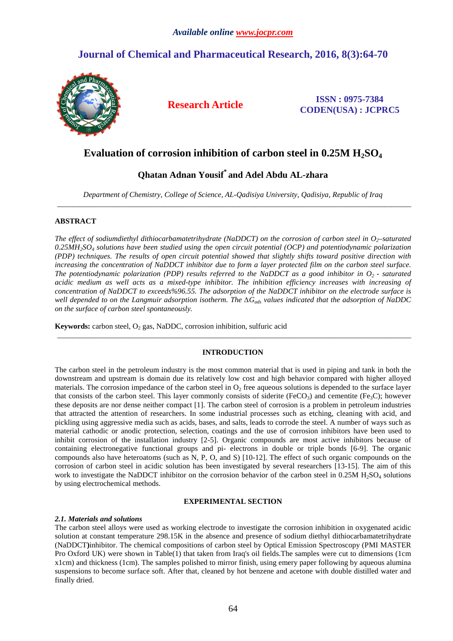# **Journal of Chemical and Pharmaceutical Research, 2016, 8(3):64-70**



**Research Article ISSN : 0975-7384 CODEN(USA) : JCPRC5**

# **Evaluation of corrosion inhibition of carbon steel in 0.25M H2SO<sup>4</sup>**

# **Qhatan Adnan Yousif\* and Adel Abdu AL-zhara**

*Department of Chemistry, College of Science, AL-Qadisiya University, Qadisiya, Republic of Iraq*  \_\_\_\_\_\_\_\_\_\_\_\_\_\_\_\_\_\_\_\_\_\_\_\_\_\_\_\_\_\_\_\_\_\_\_\_\_\_\_\_\_\_\_\_\_\_\_\_\_\_\_\_\_\_\_\_\_\_\_\_\_\_\_\_\_\_\_\_\_\_\_\_\_\_\_\_\_\_\_\_\_\_\_\_\_\_\_\_\_\_\_\_\_

## **ABSTRACT**

*The effect of sodiumdiethyl dithiocarbamatetrihydrate (NaDDCT) on the corrosion of carbon steel in O<sub>2</sub>*-saturated *0.25MH2SO4 solutions have been studied using the open circuit potential (OCP) and potentiodynamic polarization (PDP) techniques. The results of open circuit potential showed that slightly shifts toward positive direction with increasing the concentration of NaDDCT inhibitor due to form a layer protected film on the carbon steel surface. The potentiodynamic polarization (PDP) results referred to the NaDDCT as a good inhibitor in O2 - saturated acidic medium as well acts as a mixed-type inhibitor. The inhibition efficiency increases with increasing of concentration of NaDDCT to exceeds%96.55. The adsorption of the NaDDCT inhibitor on the electrode surface is well depended to on the Langmuir adsorption isotherm. The ∆Gads values indicated that the adsorption of NaDDC on the surface of carbon steel spontaneously.* 

**Keywords:** carbon steel, O<sub>2</sub> gas, NaDDC, corrosion inhibition, sulfuric acid

## **INTRODUCTION**

\_\_\_\_\_\_\_\_\_\_\_\_\_\_\_\_\_\_\_\_\_\_\_\_\_\_\_\_\_\_\_\_\_\_\_\_\_\_\_\_\_\_\_\_\_\_\_\_\_\_\_\_\_\_\_\_\_\_\_\_\_\_\_\_\_\_\_\_\_\_\_\_\_\_\_\_\_\_\_\_\_\_\_\_\_\_\_\_\_\_\_\_\_

The carbon steel in the petroleum industry is the most common material that is used in piping and tank in both the downstream and upstream is domain due its relatively low cost and high behavior compared with higher alloyed materials. The corrosion impedance of the carbon steel in  $O_2$  free aqueous solutions is depended to the surface layer that consists of the carbon steel. This layer commonly consists of siderite (FeCO<sub>3</sub>) and cementite (Fe<sub>3</sub>C); however these deposits are nor dense neither compact [1]. The carbon steel of corrosion is a problem in petroleum industries that attracted the attention of researchers. In some industrial processes such as etching, cleaning with acid, and pickling using aggressive media such as acids, bases, and salts, leads to corrode the steel. A number of ways such as material cathodic or anodic protection, selection, coatings and the use of corrosion inhibitors have been used to inhibit corrosion of the installation industry [2-5]. Organic compounds are most active inhibitors because of containing electronegative functional groups and pi- electrons in double or triple bonds [6-9]. The organic compounds also have heteroatoms (such as N, P, O, and S) [10-12]. The effect of such organic compounds on the corrosion of carbon steel in acidic solution has been investigated by several researchers [13-15]. The aim of this work to investigate the NaDDCT inhibitor on the corrosion behavior of the carbon steel in 0.25M H<sub>2</sub>SO<sub>4</sub> solutions by using electrochemical methods.

## **EXPERIMENTAL SECTION**

## *2.1. Materials and solutions*

The carbon steel alloys were used as working electrode to investigate the corrosion inhibition in oxygenated acidic solution at constant temperature 298.15K in the absence and presence of sodium diethyl dithiocarbamatetrihydrate (NaDDCT**)**inhibitor. The chemical compositions of carbon steel by Optical Emission Spectroscopy (PMI MASTER Pro Oxford UK) were shown in Table(1) that taken from Iraq's oil fields. The samples were cut to dimensions (1cm x1cm) and thickness (1cm). The samples polished to mirror finish, using emery paper following by aqueous alumina suspensions to become surface soft. After that, cleaned by hot benzene and acetone with double distilled water and finally dried.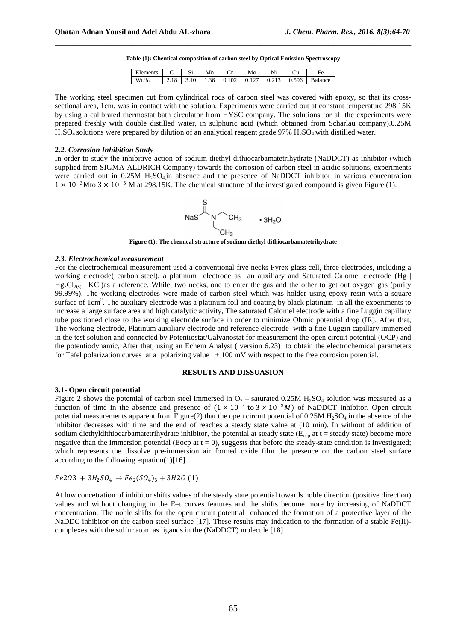|  |  |  | Table (1): Chemical composition of carbon steel by Optical Emission Spectroscopy |
|--|--|--|----------------------------------------------------------------------------------|
|  |  |  |                                                                                  |

\_\_\_\_\_\_\_\_\_\_\_\_\_\_\_\_\_\_\_\_\_\_\_\_\_\_\_\_\_\_\_\_\_\_\_\_\_\_\_\_\_\_\_\_\_\_\_\_\_\_\_\_\_\_\_\_\_\_\_\_\_\_\_\_\_\_\_\_\_\_\_\_\_\_\_\_\_\_

| Elements | Si | Mn | Mo                                                   | Ni | F۵      |
|----------|----|----|------------------------------------------------------|----|---------|
| $Wt.$ %  |    |    | $2.18$   3.10   1.36   0.102   0.127   0.213   0.596 |    | Balance |

The working steel specimen cut from cylindrical rods of carbon steel was covered with epoxy, so that its crosssectional area, 1cm, was in contact with the solution. Experiments were carried out at constant temperature 298.15K by using a calibrated thermostat bath circulator from HYSC company. The solutions for all the experiments were prepared freshly with double distilled water, in sulphuric acid (which obtained from Scharlau company).0.25M  $H_2SO_4$  solutions were prepared by dilution of an analytical reagent grade 97%  $H_2SO_4$  with distilled water.

### **2***.2. Corrosion Inhibition Study*

In order to study the inhibitive action of sodium diethyl dithiocarbamatetrihydrate (NaDDCT) as inhibitor (which supplied from SIGMA-ALDRICH Company) towards the corrosion of carbon steel in acidic solutions, experiments were carried out in 0.25M H<sub>2</sub>SO<sub>4</sub>, in absence and the presence of NaDDCT inhibitor in various concentration  $1 \times 10^{-3}$ Mto 3  $\times$  10<sup>-3</sup> M at 298.15K. The chemical structure of the investigated compound is given Figure (1).



**Figure (1): The chemical structure of sodium diethyl dithiocarbamatetrihydrate** 

#### *2.3. Electrochemical measurement*

For the electrochemical measurement used a conventional five necks Pyrex glass cell, three-electrodes, including a working electrode( carbon steel), a platinum electrode as an auxiliary and Saturated Calomel electrode (Hg |  $Hg_2Cl_{2(s)}$  | KCl)as a reference. While, two necks, one to enter the gas and the other to get out oxygen gas (purity 99.99%). The working electrodes were made of carbon steel which was holder using epoxy resin with a square surface of  $1 \text{cm}^2$ . The auxiliary electrode was a platinum foil and coating by black platinum in all the experiments to increase a large surface area and high catalytic activity, The saturated Calomel electrode with a fine Luggin capillary tube positioned close to the working electrode surface in order to minimize Ohmic potential drop (IR). After that, The working electrode, Platinum auxiliary electrode and reference electrode with a fine Luggin capillary immersed in the test solution and connected by Potentiostat/Galvanostat for measurement the open circuit potential (OCP) and the potentiodynamic, After that, using an Echem Analyst ( version 6.23) to obtain the electrochemical parameters for Tafel polarization curves at a polarizing value  $\pm 100$  mV with respect to the free corrosion potential.

## **RESULTS AND DISSUASION**

### **3.1- Open circuit potential**

Figure 2 shows the potential of carbon steel immersed in  $O_2$  – saturated 0.25M H<sub>2</sub>SO<sub>4</sub> solution was measured as a function of time in the absence and presence of  $(1 \times 10^{-4} \text{ to } 3 \times 10^{-3} M)$  of NaDDCT inhibitor. Open circuit potential measurements apparent from Figure(2) that the open circuit potential of  $0.25M H_2SO_4$  in the absence of the inhibitor decreases with time and the end of reaches a steady state value at (10 min). In without of addition of sodium diethyldithiocarbamatetrihydrate inhibitor, the potential at steady state ( $E_{ocp}$  at t = steady state) become more negative than the immersion potential (Eocp at  $t = 0$ ), suggests that before the steady-state condition is investigated; which represents the dissolve pre-immersion air formed oxide film the presence on the carbon steel surface according to the following equation(1)[16].

## $Fe2O3 + 3H_2SO_4 \rightarrow Fe_2(SO_4)_3 + 3H2O(1)$

At low concetration of inhibitor shifts values of the steady state potential towards noble direction (positive direction) values and without changing in the E–t curves features and the shifts become more by increasing of NaDDCT concentration. The noble shifts for the open circuit potential enhanced the formation of a protective layer of the NaDDC inhibitor on the carbon steel surface [17]. These results may indication to the formation of a stable Fe(II)complexes with the sulfur atom as ligands in the (NaDDCT) molecule [18].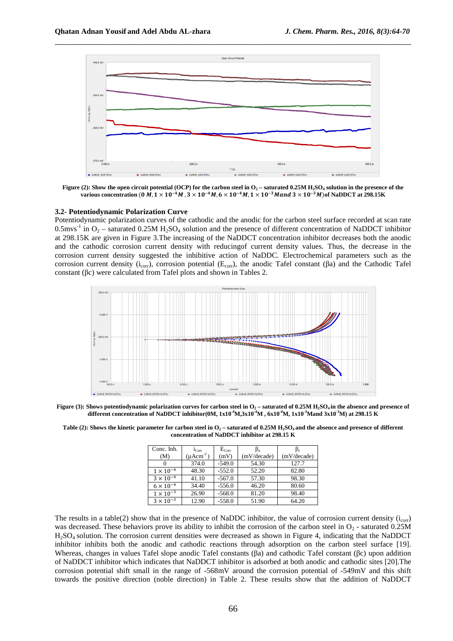

**Figure (2): Show the open circuit potential (OCP) for the carbon steel in O2 – saturated 0.25M H2SO4 solution in the presence of the**  various concentration (0 *M,*  $1\times10^{-4}$  *M ,*  $3\times10^{-4}$  *M,*  $6\times10^{-4}$  *M,*  $1\times10^{-3}$  *M and*  $3\times10^{-3}$  *M*) of NaDDCT at 298.15K

#### **3.2- Potentiodynamic Polarization Curve**

Potentiodynamic polarization curves of the cathodic and the anodic for the carbon steel surface recorded at scan rate 0.5mvs<sup>-1</sup> in  $O_2$  – saturated 0.25M H<sub>2</sub>SO<sub>4</sub> solution and the presence of different concentration of NaDDCT inhibitor at 298.15K are given in Figure 3.The increasing of the NaDDCT concentration inhibitor decreases both the anodic and the cathodic corrosion current density with reducingof current density values. Thus, the decrease in the corrosion current density suggested the inhibitive action of NaDDC. Electrochemical parameters such as the corrosion current density (i<sub>corr</sub>), corrosion potential (E<sub>corr</sub>), the anodic Tafel constant (βa) and the Cathodic Tafel constant (βc) were calculated from Tafel plots and shown in Tables 2.



**Figure (3): Shows potentiodynamic polarization curves for carbon steel in O2 – saturated of 0.25M H2SO4 in the absence and presence of different concentration of NaDDCT inhibitor(0M, 1x10 -4M,3x10-4M , 6x10-4M, 1x10-3Mand 3x10-3M) at 298.15 K** 

**Table (2): Shows the kinetic parameter for carbon steel in O2 – saturated of 0.25M H2SO4 and the absence and presence of different concentration of NaDDCT inhibitor at 298.15 K** 

| Conc. Inh.         | $1_{\rm Corr}$                  | $E_{Corr}$ |             | $\beta_c$   |
|--------------------|---------------------------------|------------|-------------|-------------|
| (M)                | $(\mu \text{A} \text{cm}^{-2})$ | (mV)       | (mV/decade) | (mV/decade) |
|                    | 374.0                           | $-549.0$   | 54.30       | 127.7       |
| $1 \times 10^{-4}$ | 48.30                           | $-552.0$   | 52.20       | 82.80       |
| $3 \times 10^{-4}$ | 41.10                           | $-567.0$   | 57.30       | 98.30       |
| $6 \times 10^{-4}$ | 34.40                           | $-556.0$   | 46.20       | 80.60       |
| $1 \times 10^{-3}$ | 26.90                           | $-568.0$   | 81.20       | 98.40       |
| $3 \times 10^{-3}$ | 12.90                           | $-558.0$   | 51.90       | 64.20       |

The results in a table(2) show that in the presence of NaDDC inhibitor, the value of corrosion current density  $(i_{corr})$ was decreased. These behaviors prove its ability to inhibit the corrosion of the carbon steel in  $O_2$  - saturated 0.25M H2SO4 solution. The corrosion current densities were decreased as shown in Figure 4, indicating that the NaDDCT inhibitor inhibits both the anodic and cathodic reactions through adsorption on the carbon steel surface [19]. Whereas, changes in values Tafel slope anodic Tafel constants (βa) and cathodic Tafel constant (βc) upon addition of NaDDCT inhibitor which indicates that NaDDCT inhibitor is adsorbed at both anodic and cathodic sites [20].The corrosion potential shift small in the range of -568mV around the corrosion potential of -549mV and this shift towards the positive direction (noble direction) in Table 2. These results show that the addition of NaDDCT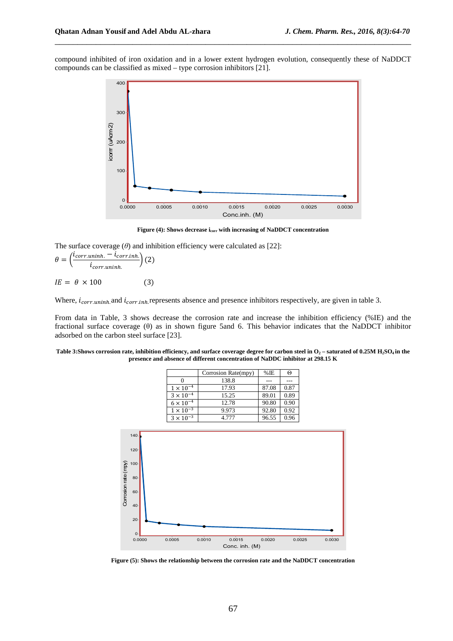compound inhibited of iron oxidation and in a lower extent hydrogen evolution, consequently these of NaDDCT compounds can be classified as mixed – type corrosion inhibitors [21].

\_\_\_\_\_\_\_\_\_\_\_\_\_\_\_\_\_\_\_\_\_\_\_\_\_\_\_\_\_\_\_\_\_\_\_\_\_\_\_\_\_\_\_\_\_\_\_\_\_\_\_\_\_\_\_\_\_\_\_\_\_\_\_\_\_\_\_\_\_\_\_\_\_\_\_\_\_\_



**Figure (4): Shows decrease icorr with increasing of NaDDCT concentration**

The surface coverage (*θ*) and inhibition efficiency were calculated as [22]:

$$
\theta = \left(\frac{i_{corr.uninh.} - i_{corr.inh.}}{i_{corr.uninh.}}\right)(2)
$$

$$
IE = \theta \times 100
$$
 (3)

Where,  $i_{corr.uninh}$  and  $i_{corr.inh}$  represents absence and presence inhibitors respectively, are given in table 3.

From data in Table, 3 shows decrease the corrosion rate and increase the inhibition efficiency (%IE) and the fractional surface coverage (θ) as in shown figure 5and 6. This behavior indicates that the NaDDCT inhibitor adsorbed on the carbon steel surface [23].

**Table 3:Shows corrosion rate, inhibition efficiency, and surface coverage degree for carbon steel in O2 – saturated of 0.25M H2SO4 in the presence and absence of different concentration of NaDDC inhibitor at 298.15 K** 

|                    | Corrosion Rate(mpy) | $%$ IE | Θ    |
|--------------------|---------------------|--------|------|
|                    | 138.8               |        |      |
| $1\times10^{-4}$   | 17.93               | 87.08  | 0.87 |
| $3 \times 10^{-4}$ | 15.25               | 89.01  | 0.89 |
| $6 \times 10^{-4}$ | 12.78               | 90.80  | 0.90 |
| $1 \times 10^{-3}$ | 9.973               | 92.80  | 0.92 |
| $3 \times 10^{-3}$ | 4.777               | 96.55  | 0.96 |



**Figure (5): Shows the relationship between the corrosion rate and the NaDDCT concentration**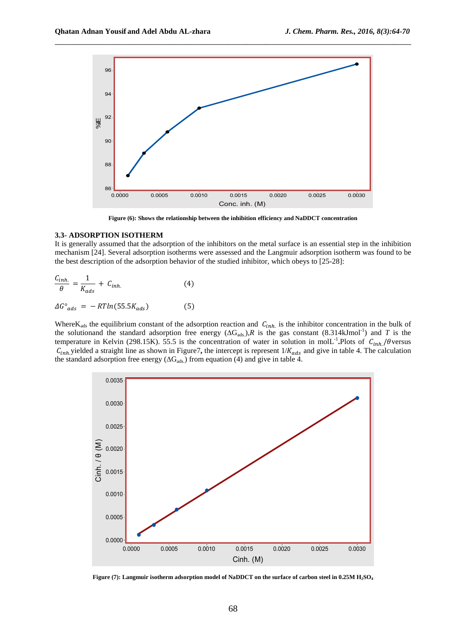

\_\_\_\_\_\_\_\_\_\_\_\_\_\_\_\_\_\_\_\_\_\_\_\_\_\_\_\_\_\_\_\_\_\_\_\_\_\_\_\_\_\_\_\_\_\_\_\_\_\_\_\_\_\_\_\_\_\_\_\_\_\_\_\_\_\_\_\_\_\_\_\_\_\_\_\_\_\_

**Figure (6): Shows the relationship between the inhibition efficiency and NaDDCT concentration**

### **3.3- ADSORPTION ISOTHERM**

It is generally assumed that the adsorption of the inhibitors on the metal surface is an essential step in the inhibition mechanism [24]. Several adsorption isotherms were assessed and the Langmuir adsorption isotherm was found to be the best description of the adsorption behavior of the studied inhibitor, which obeys to [25-28]:

$$
\frac{C_{inh.}}{\theta} = \frac{1}{K_{ads}} + C_{inh.}
$$
 (4)

$$
\Delta G^{\circ}_{ads} = -RTln(55.5K_{ads}) \tag{5}
$$

Where $K_{ads}$  the equilibrium constant of the adsorption reaction and  $C_{inh}$  is the inhibitor concentration in the bulk of the solutionand the standard adsorption free energy  $(\Delta G_{ads.})$ , R is the gas constant  $(8.314 \text{kJmol}^{-1})$  and T is the temperature in Kelvin (298.15K). 55.5 is the concentration of water in solution in mol $L^{-1}$ . Plots of  $C_{inh}/\theta$  versus  $C_{inh}$  yielded a straight line as shown in Figure7, the intercept is represent  $1/K_{ads}$  and give in table 4. The calculation the standard adsorption free energy ( $\Delta G_{ads.}$ ) from equation (4) and give in table 4.



**Figure (7): Langmuir isotherm adsorption model of NaDDCT on the surface of carbon steel in 0.25M H2SO<sup>4</sup>**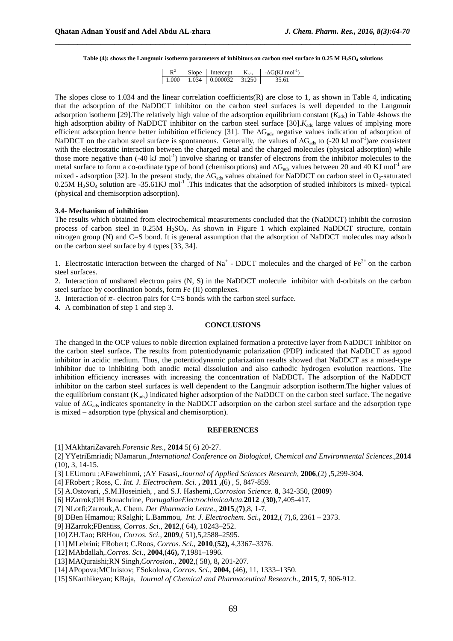**Table (4): shows the Langmuir isotherm parameters of inhibitors on carbon steel surface in 0.25 M H2SO4 solutions** 

\_\_\_\_\_\_\_\_\_\_\_\_\_\_\_\_\_\_\_\_\_\_\_\_\_\_\_\_\_\_\_\_\_\_\_\_\_\_\_\_\_\_\_\_\_\_\_\_\_\_\_\_\_\_\_\_\_\_\_\_\_\_\_\_\_\_\_\_\_\_\_\_\_\_\_\_\_\_

| R    | slope | Intercept | $N_{ads.}$ | $-\Lambda$ G(KJ mol <sup>-1)</sup> |
|------|-------|-----------|------------|------------------------------------|
| .000 | 1.034 | 0.000032  |            | `5.61.                             |

The slopes close to 1.034 and the linear correlation coefficients(R) are close to 1, as shown in Table 4, indicating that the adsorption of the NaDDCT inhibitor on the carbon steel surfaces is well depended to the Langmuir adsorption isotherm [29]. The relatively high value of the adsorption equilibrium constant  $(K_{ads})$  in Table 4shows the high adsorption ability of NaDDCT inhibitor on the carbon steel surface  $[30]$ . $K_{ads}$  large values of implying more efficient adsorption hence better inhibition efficiency [31]. The ∆G<sub>ads</sub> negative values indication of adsorption of NaDDCT on the carbon steel surface is spontaneous. Generally, the values of  $\Delta G_{ads}$  to (-20 kJ mol<sup>-1</sup>)are consistent with the electrostatic interaction between the charged metal and the charged molecules (physical adsorption) while those more negative than  $(-40 \text{ kJ mol}^{-1})$  involve sharing or transfer of electrons from the inhibitor molecules to the metal surface to form a co-ordinate type of bond (chemisorptions) and  $\Delta G_{ads}$  values between 20 and 40 KJ mol<sup>-1</sup> are mixed - adsorption [32]. In the present study, the  $\Delta G_{ads}$  values obtained for NaDDCT on carbon steel in O<sub>2</sub>-saturated  $0.25M H<sub>2</sub>SO<sub>4</sub>$  solution are -35.61KJ mol<sup>-1</sup>. This indicates that the adsorption of studied inhibitors is mixed- typical (physical and chemisorption adsorption).

### **3.4- Mechanism of inhibition**

The results which obtained from electrochemical measurements concluded that the (NaDDCT) inhibit the corrosion process of carbon steel in 0.25M H<sub>2</sub>SO<sub>4</sub>. As shown in Figure 1 which explained NaDDCT structure, contain nitrogen group (N) and C=S bond. It is general assumption that the adsorption of NaDDCT molecules may adsorb on the carbon steel surface by 4 types [33, 34].

1. Electrostatic interaction between the charged of  $Na^+$  - DDCT molecules and the charged of  $Fe^{2+}$  on the carbon steel surfaces.

2. Interaction of unshared electron pairs (N, S) in the NaDDCT molecule inhibitor with d-orbitals on the carbon steel surface by coordination bonds, form Fe (II) complexes.

3. Interaction of  $\pi$ - electron pairs for C=S bonds with the carbon steel surface.

4. A combination of step 1 and step 3.

### **CONCLUSIONS**

The changed in the OCP values to noble direction explained formation a protective layer from NaDDCT inhibitor on the carbon steel surface**.** The results from potentiodynamic polarization (PDP) indicated that NaDDCT as agood inhibitor in acidic medium. Thus, the potentiodynamic polarization results showed that NaDDCT as a mixed-type inhibitor due to inhibiting both anodic metal dissolution and also cathodic hydrogen evolution reactions. The inhibition efficiency increases with increasing the concentration of NaDDCT*.* The adsorption of the NaDDCT inhibitor on the carbon steel surfaces is well dependent to the Langmuir adsorption isotherm.The higher values of the equilibrium constant  $(K_{ads})$  indicated higher adsorption of the NaDDCT on the carbon steel surface. The negative value of ∆G<sub>ads</sub> indicates spontaneity in the NaDDCT adsorption on the carbon steel surface and the adsorption type is mixed – adsorption type (physical and chemisorption).

## **REFERENCES**

[1] MAkhtariZavareh.*Forensic Res*., **2014** 5( 6) 20-27.

[2] YYetriEmriadi; NJamarun.,*International Conference on Biological, Chemical and Environmental Sciences*.,**2014** (10), 3, 14-15.

- [3] LEUmoru ;AFawehinmi, ;AY Fasasi,.*Journal of Applied Sciences Research*, **2006**,(2) ,5,299-304.
- [4] FRobert ; Ross, C. *Int. J. Electrochem. Sci.* **, 2011 ,(**6) , 5, 847-859.
- [5] A.Ostovari, ,S.M.Hoseinieh, , and S.J. Hashemi,.*Corrosion Science.* **8**, 342-350, (**2009**)
- [6] HZarrok;OH Bouachrine*, PortugaliaeElectrochimicaActa.***2012** ,(**30)**,7,405-417.
- [7] NLotfi;Zarrouk,A. Chem. *Der Pharmacia Lettre*., **2015**,(**7)**,8, 1-7.
- [8] DBen Hmamou; RSalghi; L.Bammou, *Int. J. Electrochem. Sci*.**, 2012**,( 7),6, 2361 2373.
- [9] HZarrok;FBentiss, *Corros. Sci*., **2012**,( 64), 10243–252.
- [10]ZH.Tao; BRHou, *Corros. Sci.,* **2009**,( 51),5,2588–2595.
- [11]MLebrini; FRobert; C.Roos, *Corros. Sci*., **2010**,(**52),** 4,3367–3376.
- [12]MAbdallah,.*Corros. Sci.,* **2004**,(**46), 7**,1981–1996.
- [13]MAQuraishi;RN Singh,*Corrosion*., **2002**,( 58), 8**,** 201-207.
- [14]APopova;MChristov; ESokolova, *Corros. Sci.,* **2004,** (46), 11, 1333–1350.
- [15]SKarthikeyan; KRaja, *Journal of Chemical and Pharmaceutical Research*., **2015**, **7**, 906-912.